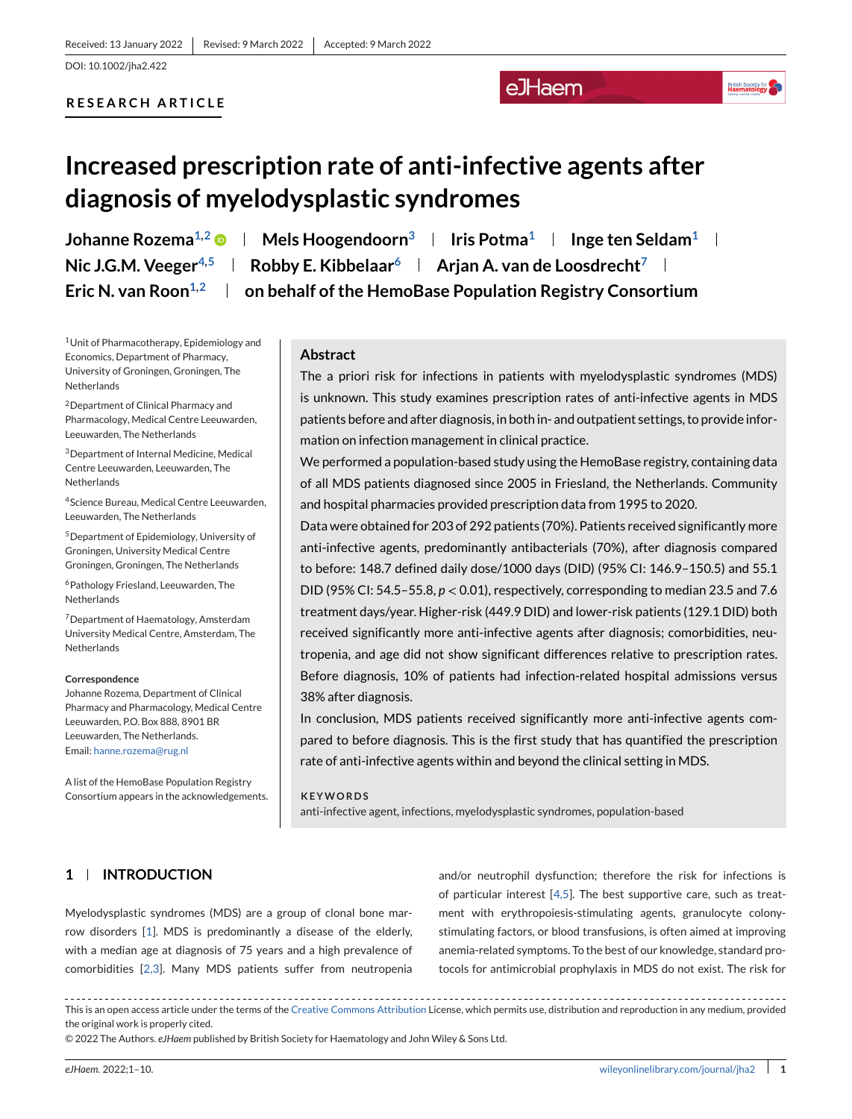#### **RESEARCH ARTICLE**

## eJHaem

## **British Society for**

# **Increased prescription rate of anti-infective agents after diagnosis of myelodysplastic syndromes**

**Johanne Rozema<sup>1,2</sup>**  $\bullet$  **| Mels Hoogendoorn<sup>3</sup> | Iris Potma<sup>1</sup> | Inge ten Seldam<sup>1</sup> | Nic J.G.M. Veeger**<sup>4,5</sup> **Robby E. Kibbelaar<sup>6</sup> <b>Arjan A. van de Loosdrecht**<sup>7</sup> Eric N. van Roon<sup>1,2</sup> | on behalf of the HemoBase Population Registry Consortium

1Unit of Pharmacotherapy, Epidemiology and Economics, Department of Pharmacy, University of Groningen, Groningen, The Netherlands

2Department of Clinical Pharmacy and Pharmacology, Medical Centre Leeuwarden, Leeuwarden, The Netherlands

3Department of Internal Medicine, Medical Centre Leeuwarden, Leeuwarden, The **Netherlands** 

4Science Bureau, Medical Centre Leeuwarden, Leeuwarden, The Netherlands

5Department of Epidemiology, University of Groningen, University Medical Centre Groningen, Groningen, The Netherlands

6Pathology Friesland, Leeuwarden, The **Netherlands** 

7Department of Haematology, Amsterdam University Medical Centre, Amsterdam, The Netherlands

#### **Correspondence**

Johanne Rozema, Department of Clinical Pharmacy and Pharmacology, Medical Centre Leeuwarden, P.O. Box 888, 8901 BR Leeuwarden, The Netherlands. Email: [hanne.rozema@rug.nl](mailto:hanne.rozema@rug.nl)

A list of the HemoBase Population Registry Consortium appears in the acknowledgements.

#### **Abstract**

The a priori risk for infections in patients with myelodysplastic syndromes (MDS) is unknown. This study examines prescription rates of anti-infective agents in MDS patients before and after diagnosis, in both in- and outpatient settings, to provide information on infection management in clinical practice.

We performed a population-based study using the HemoBase registry, containing data of all MDS patients diagnosed since 2005 in Friesland, the Netherlands. Community and hospital pharmacies provided prescription data from 1995 to 2020.

Data were obtained for 203 of 292 patients (70%). Patients received significantly more anti-infective agents, predominantly antibacterials (70%), after diagnosis compared to before: 148.7 defined daily dose/1000 days (DID) (95% CI: 146.9–150.5) and 55.1 DID (95% CI: 54.5–55.8, *p* <sup>&</sup>lt; 0.01), respectively, corresponding to median 23.5 and 7.6 treatment days/year. Higher-risk (449.9 DID) and lower-risk patients (129.1 DID) both received significantly more anti-infective agents after diagnosis; comorbidities, neutropenia, and age did not show significant differences relative to prescription rates. Before diagnosis, 10% of patients had infection-related hospital admissions versus 38% after diagnosis.

In conclusion, MDS patients received significantly more anti-infective agents compared to before diagnosis. This is the first study that has quantified the prescription rate of anti-infective agents within and beyond the clinical setting in MDS.

#### **KEYWORDS**

anti-infective agent, infections, myelodysplastic syndromes, population-based

## **1 INTRODUCTION**

Myelodysplastic syndromes (MDS) are a group of clonal bone marrow disorders [\[1\]](#page-7-0). MDS is predominantly a disease of the elderly, with a median age at diagnosis of 75 years and a high prevalence of comorbidities [\[2,3\]](#page-7-0). Many MDS patients suffer from neutropenia

and/or neutrophil dysfunction; therefore the risk for infections is of particular interest [\[4,5\]](#page-7-0). The best supportive care, such as treatment with erythropoiesis-stimulating agents, granulocyte colonystimulating factors, or blood transfusions, is often aimed at improving anemia-related symptoms. To the best of our knowledge, standard protocols for antimicrobial prophylaxis in MDS do not exist. The risk for

This is an open access article under the terms of the [Creative Commons Attribution](http://creativecommons.org/licenses/by/4.0/) License, which permits use, distribution and reproduction in any medium, provided the original work is properly cited.

© 2022 The Authors. *eJHaem* published by British Society for Haematology and John Wiley & Sons Ltd.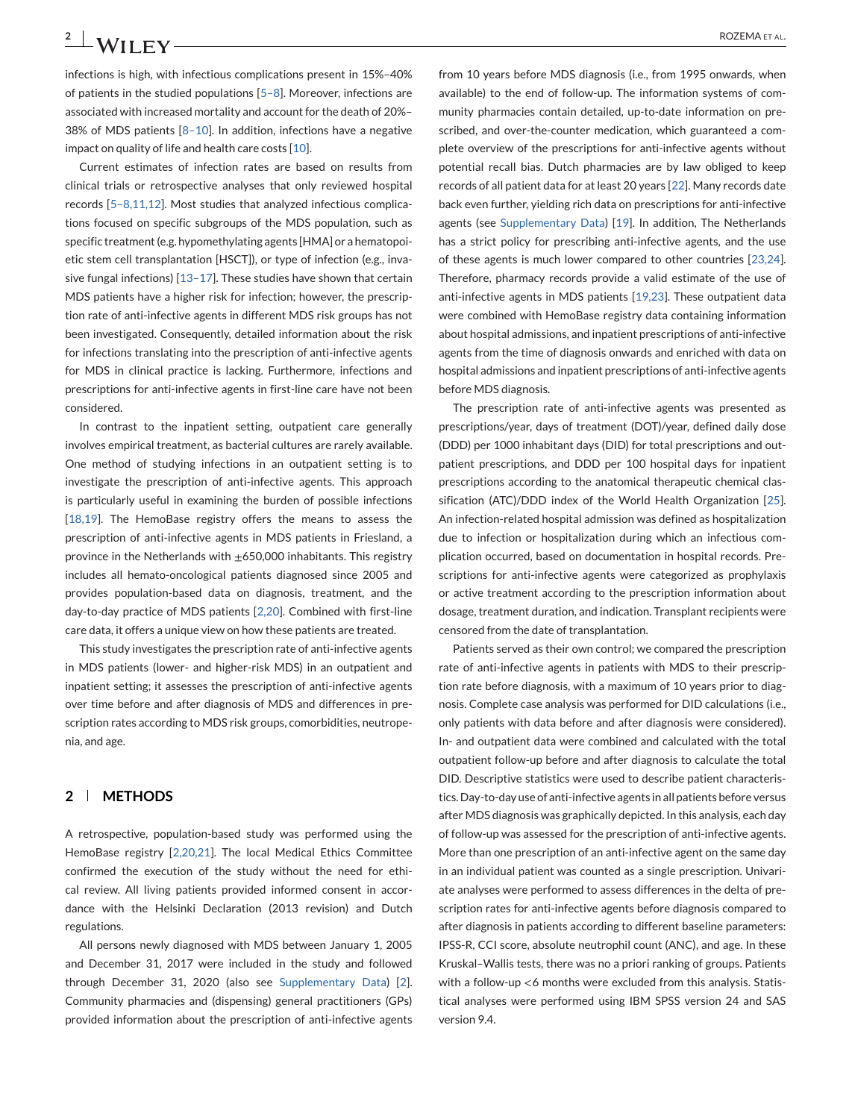infections is high, with infectious complications present in 15%–40% of patients in the studied populations  $[5-8]$ . Moreover, infections are associated with increased mortality and account for the death of 20%– 38% of MDS patients [\[8–10\]](#page-7-0). In addition, infections have a negative impact on quality of life and health care costs [\[10\]](#page-7-0).

Current estimates of infection rates are based on results from clinical trials or retrospective analyses that only reviewed hospital records [\[5–8,11,12\]](#page-7-0). Most studies that analyzed infectious complications focused on specific subgroups of the MDS population, such as specific treatment (e.g. hypomethylating agents [HMA] or a hematopoietic stem cell transplantation [HSCT]), or type of infection (e.g., invasive fungal infections)  $[13-17]$ . These studies have shown that certain MDS patients have a higher risk for infection; however, the prescription rate of anti-infective agents in different MDS risk groups has not been investigated. Consequently, detailed information about the risk for infections translating into the prescription of anti-infective agents for MDS in clinical practice is lacking. Furthermore, infections and prescriptions for anti-infective agents in first-line care have not been considered.

In contrast to the inpatient setting, outpatient care generally involves empirical treatment, as bacterial cultures are rarely available. One method of studying infections in an outpatient setting is to investigate the prescription of anti-infective agents. This approach is particularly useful in examining the burden of possible infections [\[18,19\]](#page-8-0). The HemoBase registry offers the means to assess the prescription of anti-infective agents in MDS patients in Friesland, a province in the Netherlands with  $\pm$ 650,000 inhabitants. This registry includes all hemato-oncological patients diagnosed since 2005 and provides population-based data on diagnosis, treatment, and the day-to-day practice of MDS patients [\[2,20\]](#page-7-0). Combined with first-line care data, it offers a unique view on how these patients are treated.

This study investigates the prescription rate of anti-infective agents in MDS patients (lower- and higher-risk MDS) in an outpatient and inpatient setting; it assesses the prescription of anti-infective agents over time before and after diagnosis of MDS and differences in prescription rates according to MDS risk groups, comorbidities, neutropenia, and age.

## **2 METHODS**

A retrospective, population-based study was performed using the HemoBase registry [\[2,20,21\]](#page-7-0). The local Medical Ethics Committee confirmed the execution of the study without the need for ethical review. All living patients provided informed consent in accordance with the Helsinki Declaration (2013 revision) and Dutch regulations.

All persons newly diagnosed with MDS between January 1, 2005 and December 31, 2017 were included in the study and followed through December 31, 2020 (also see Supplementary Data) [\[2\]](#page-7-0). Community pharmacies and (dispensing) general practitioners (GPs) provided information about the prescription of anti-infective agents

from 10 years before MDS diagnosis (i.e., from 1995 onwards, when available) to the end of follow-up. The information systems of community pharmacies contain detailed, up-to-date information on prescribed, and over-the-counter medication, which guaranteed a complete overview of the prescriptions for anti-infective agents without potential recall bias. Dutch pharmacies are by law obliged to keep records of all patient data for at least 20 years [\[22\]](#page-8-0). Many records date back even further, yielding rich data on prescriptions for anti-infective agents (see Supplementary Data) [\[19\]](#page-8-0). In addition, The Netherlands has a strict policy for prescribing anti-infective agents, and the use of these agents is much lower compared to other countries [\[23,24\]](#page-8-0). Therefore, pharmacy records provide a valid estimate of the use of anti-infective agents in MDS patients [\[19,23\]](#page-8-0). These outpatient data were combined with HemoBase registry data containing information about hospital admissions, and inpatient prescriptions of anti-infective agents from the time of diagnosis onwards and enriched with data on hospital admissions and inpatient prescriptions of anti-infective agents before MDS diagnosis.

The prescription rate of anti-infective agents was presented as prescriptions/year, days of treatment (DOT)/year, defined daily dose (DDD) per 1000 inhabitant days (DID) for total prescriptions and outpatient prescriptions, and DDD per 100 hospital days for inpatient prescriptions according to the anatomical therapeutic chemical classification (ATC)/DDD index of the World Health Organization [\[25\]](#page-8-0). An infection-related hospital admission was defined as hospitalization due to infection or hospitalization during which an infectious complication occurred, based on documentation in hospital records. Prescriptions for anti-infective agents were categorized as prophylaxis or active treatment according to the prescription information about dosage, treatment duration, and indication. Transplant recipients were censored from the date of transplantation.

Patients served as their own control; we compared the prescription rate of anti-infective agents in patients with MDS to their prescription rate before diagnosis, with a maximum of 10 years prior to diagnosis. Complete case analysis was performed for DID calculations (i.e., only patients with data before and after diagnosis were considered). In- and outpatient data were combined and calculated with the total outpatient follow-up before and after diagnosis to calculate the total DID. Descriptive statistics were used to describe patient characteristics. Day-to-day use of anti-infective agents in all patients before versus after MDS diagnosis was graphically depicted. In this analysis, each day of follow-up was assessed for the prescription of anti-infective agents. More than one prescription of an anti-infective agent on the same day in an individual patient was counted as a single prescription. Univariate analyses were performed to assess differences in the delta of prescription rates for anti-infective agents before diagnosis compared to after diagnosis in patients according to different baseline parameters: IPSS-R, CCI score, absolute neutrophil count (ANC), and age. In these Kruskal–Wallis tests, there was no a priori ranking of groups. Patients with a follow-up <6 months were excluded from this analysis. Statistical analyses were performed using IBM SPSS version 24 and SAS version 9.4.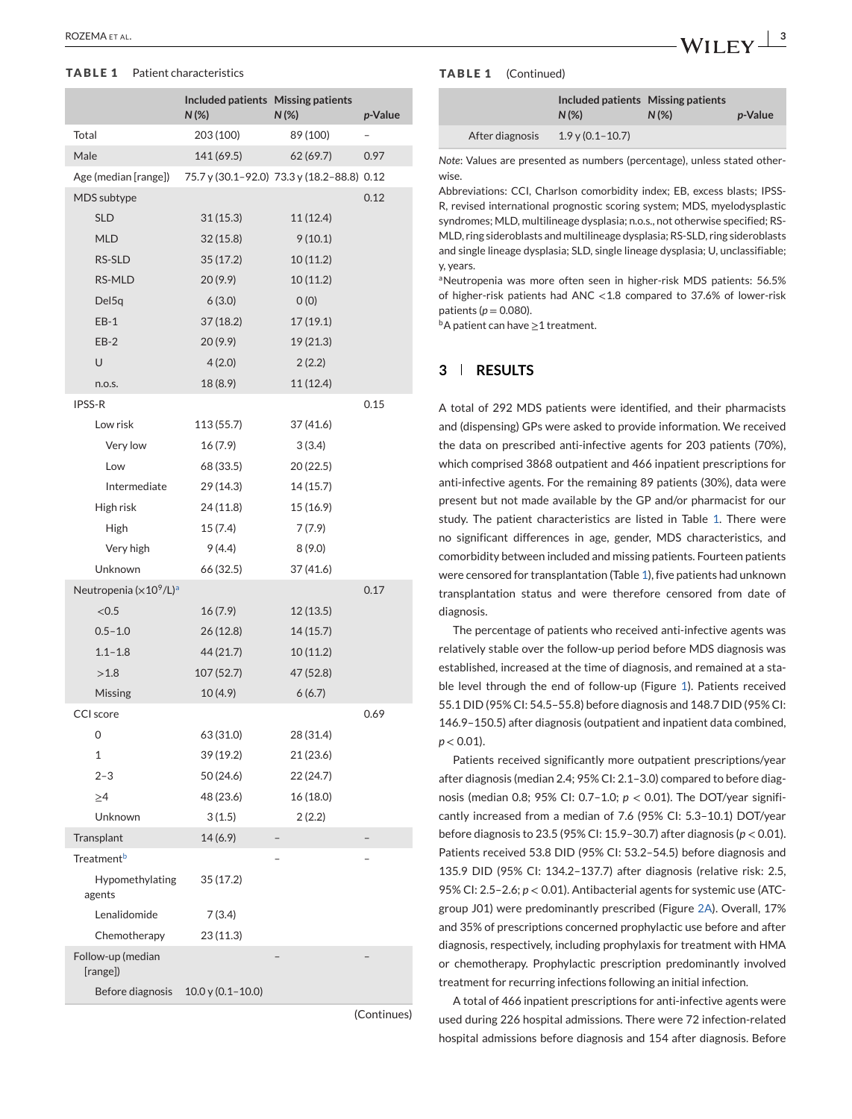#### **TABLE 1** Patient characteristics

|                               | Included patients Missing patients<br>N(%) | $N(\%)$                                    | p-Value |
|-------------------------------|--------------------------------------------|--------------------------------------------|---------|
| Total                         | 203 (100)                                  | 89 (100)                                   |         |
| Male                          | 141 (69.5)                                 | 62(69.7)                                   | 0.97    |
| Age (median [range])          |                                            | 75.7 y (30.1-92.0) 73.3 y (18.2-88.8) 0.12 |         |
| MDS subtype                   |                                            |                                            | 0.12    |
| <b>SLD</b>                    | 31(15.3)                                   | 11(12.4)                                   |         |
| <b>MLD</b>                    | 32(15.8)                                   | 9(10.1)                                    |         |
| RS-SLD                        | 35(17.2)                                   | 10(11.2)                                   |         |
| RS-MLD                        | 20(9.9)                                    | 10(11.2)                                   |         |
| Del <sub>5q</sub>             | 6(3.0)                                     | O(0)                                       |         |
| $EB-1$                        | 37 (18.2)                                  | 17(19.1)                                   |         |
| $EB-2$                        | 20(9.9)                                    | 19(21.3)                                   |         |
| U                             | 4(2.0)                                     | 2(2.2)                                     |         |
| n.o.s.                        | 18 (8.9)                                   | 11(12.4)                                   |         |
| <b>IPSS-R</b>                 |                                            |                                            | 0.15    |
| Low risk                      | 113 (55.7)                                 | 37 (41.6)                                  |         |
| Very low                      | 16(7.9)                                    | 3(3.4)                                     |         |
| Low                           | 68 (33.5)                                  | 20 (22.5)                                  |         |
| Intermediate                  | 29 (14.3)                                  | 14 (15.7)                                  |         |
| High risk                     | 24 (11.8)                                  | 15 (16.9)                                  |         |
| High                          | 15 (7.4)                                   | 7(7.9)                                     |         |
| Very high                     | 9(4.4)                                     | 8(9.0)                                     |         |
| Unknown                       | 66 (32.5)                                  | 37 (41.6)                                  |         |
| Neutropenia $(x10^9/L)^a$     |                                            |                                            | 0.17    |
| < 0.5                         | 16(7.9)                                    | 12 (13.5)                                  |         |
| $0.5 - 1.0$                   | 26(12.8)                                   | 14(15.7)                                   |         |
| $1.1 - 1.8$                   | 44(21.7)                                   | 10(11.2)                                   |         |
| >1.8                          | 107(52.7)                                  | 47 (52.8)                                  |         |
| Missing                       | 10(4.9)                                    | 6(6.7)                                     |         |
| CCI score                     |                                            |                                            | 0.69    |
| 0                             | 63 (31.0)                                  | 28 (31.4)                                  |         |
| 1                             | 39 (19.2)                                  | 21 (23.6)                                  |         |
| $2 - 3$                       | 50 (24.6)                                  | 22 (24.7)                                  |         |
| ≥4                            | 48 (23.6)                                  | 16 (18.0)                                  |         |
| Unknown                       | 3(1.5)                                     | 2(2.2)                                     |         |
| Transplant                    | 14(6.9)                                    |                                            |         |
| Treatment <sup>b</sup>        |                                            |                                            |         |
| Hypomethylating<br>agents     | 35 (17.2)                                  |                                            |         |
| Lenalidomide                  | 7(3.4)                                     |                                            |         |
| Chemotherapy                  | 23 (11.3)                                  |                                            |         |
| Follow-up (median<br>[range]) |                                            |                                            |         |
| Before diagnosis              | $10.0$ y (0.1-10.0)                        |                                            |         |

(Continues)

#### **TABLE 1** (Continued)

|                 | Included patients Missing patients<br>$N(\%)$ | $N(\%)$ | <i>p</i> -Value |
|-----------------|-----------------------------------------------|---------|-----------------|
| After diagnosis | $1.9y(0.1-10.7)$                              |         |                 |

*Note*: Values are presented as numbers (percentage), unless stated otherwise.

Abbreviations: CCI, Charlson comorbidity index; EB, excess blasts; IPSS-R, revised international prognostic scoring system; MDS, myelodysplastic syndromes; MLD, multilineage dysplasia; n.o.s., not otherwise specified; RS-MLD, ring sideroblasts and multilineage dysplasia; RS-SLD, ring sideroblasts and single lineage dysplasia; SLD, single lineage dysplasia; U, unclassifiable; y, years.

aNeutropenia was more often seen in higher-risk MDS patients: 56.5% of higher-risk patients had ANC <1.8 compared to 37.6% of lower-risk patients (*p* <sup>=</sup> 0.080).

 $b$ A patient can have  $\geq$ 1 treatment.

## **3 RESULTS**

A total of 292 MDS patients were identified, and their pharmacists and (dispensing) GPs were asked to provide information. We received the data on prescribed anti-infective agents for 203 patients (70%), which comprised 3868 outpatient and 466 inpatient prescriptions for anti-infective agents. For the remaining 89 patients (30%), data were present but not made available by the GP and/or pharmacist for our study. The patient characteristics are listed in Table 1. There were no significant differences in age, gender, MDS characteristics, and comorbidity between included and missing patients. Fourteen patients were censored for transplantation (Table 1), five patients had unknown transplantation status and were therefore censored from date of diagnosis.

The percentage of patients who received anti-infective agents was relatively stable over the follow-up period before MDS diagnosis was established, increased at the time of diagnosis, and remained at a stable level through the end of follow-up (Figure [1\)](#page-3-0). Patients received 55.1 DID (95% CI: 54.5–55.8) before diagnosis and 148.7 DID (95% CI: 146.9–150.5) after diagnosis (outpatient and inpatient data combined,  $p < 0.01$ ).

Patients received significantly more outpatient prescriptions/year after diagnosis (median 2.4; 95% CI: 2.1–3.0) compared to before diagnosis (median 0.8; 95% CI: 0.7–1.0; *p* <sup>&</sup>lt; 0.01). The DOT/year significantly increased from a median of 7.6 (95% CI: 5.3–10.1) DOT/year before diagnosis to 23.5 (95% CI: 15.9–30.7) after diagnosis (*p* <sup>&</sup>lt; 0.01). Patients received 53.8 DID (95% CI: 53.2–54.5) before diagnosis and 135.9 DID (95% CI: 134.2–137.7) after diagnosis (relative risk: 2.5, 95% CI: 2.5–2.6; *p* <sup>&</sup>lt; 0.01). Antibacterial agents for systemic use (ATCgroup J01) were predominantly prescribed (Figure [2A\)](#page-3-0). Overall, 17% and 35% of prescriptions concerned prophylactic use before and after diagnosis, respectively, including prophylaxis for treatment with HMA or chemotherapy. Prophylactic prescription predominantly involved treatment for recurring infections following an initial infection.

A total of 466 inpatient prescriptions for anti-infective agents were used during 226 hospital admissions. There were 72 infection-related hospital admissions before diagnosis and 154 after diagnosis. Before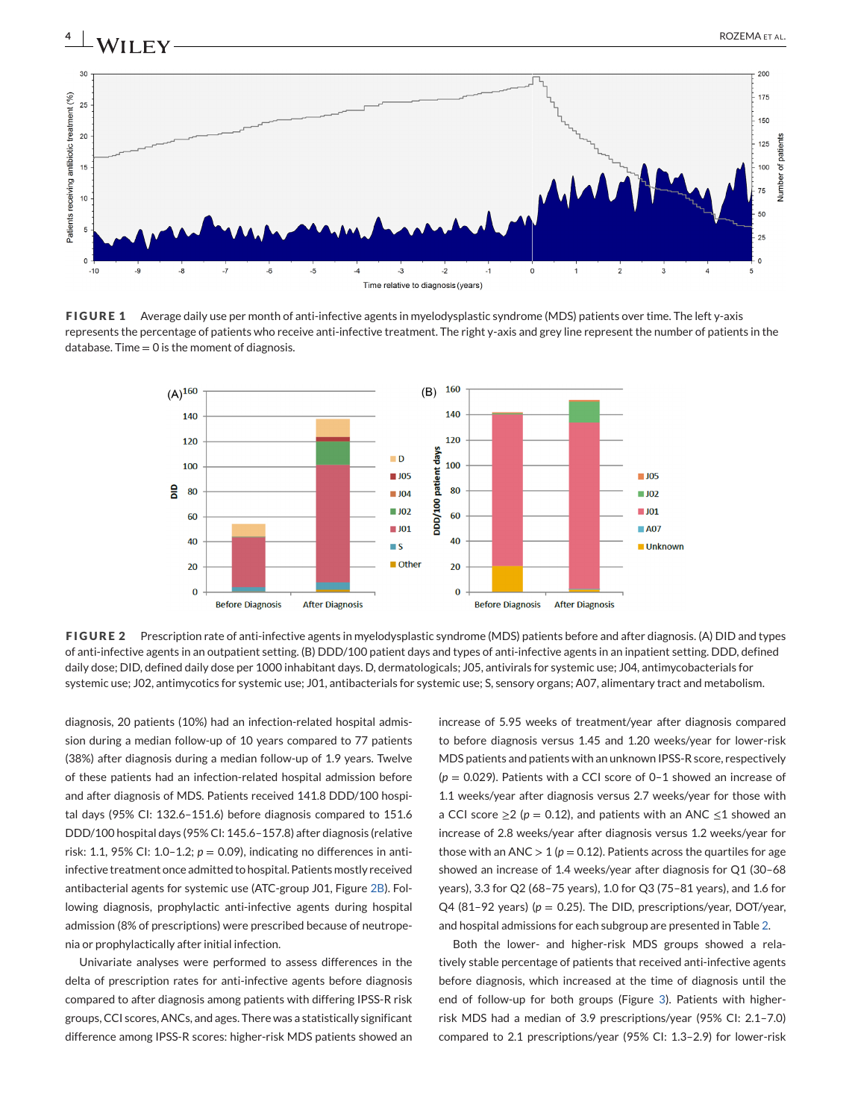

<span id="page-3-0"></span>

**FIGURE 1** Average daily use per month of anti-infective agents in myelodysplastic syndrome (MDS) patients over time. The left y-axis represents the percentage of patients who receive anti-infective treatment. The right y-axis and grey line represent the number of patients in the  $database$ . Time = 0 is the moment of diagnosis.



**FIGURE 2** Prescription rate of anti-infective agents in myelodysplastic syndrome (MDS) patients before and after diagnosis. (A) DID and types of anti-infective agents in an outpatient setting. (B) DDD/100 patient days and types of anti-infective agents in an inpatient setting. DDD, defined daily dose; DID, defined daily dose per 1000 inhabitant days. D, dermatologicals; J05, antivirals for systemic use; J04, antimycobacterials for systemic use; J02, antimycotics for systemic use; J01, antibacterials for systemic use; S, sensory organs; A07, alimentary tract and metabolism.

diagnosis, 20 patients (10%) had an infection-related hospital admission during a median follow-up of 10 years compared to 77 patients (38%) after diagnosis during a median follow-up of 1.9 years. Twelve of these patients had an infection-related hospital admission before and after diagnosis of MDS. Patients received 141.8 DDD/100 hospital days (95% CI: 132.6–151.6) before diagnosis compared to 151.6 DDD/100 hospital days (95% CI: 145.6–157.8) after diagnosis (relative risk: 1.1, 95% CI: 1.0-1.2;  $p = 0.09$ ), indicating no differences in antiinfective treatment once admitted to hospital. Patients mostly received antibacterial agents for systemic use (ATC-group J01, Figure 2B). Following diagnosis, prophylactic anti-infective agents during hospital admission (8% of prescriptions) were prescribed because of neutropenia or prophylactically after initial infection.

Univariate analyses were performed to assess differences in the delta of prescription rates for anti-infective agents before diagnosis compared to after diagnosis among patients with differing IPSS-R risk groups, CCI scores, ANCs, and ages. There was a statistically significant difference among IPSS-R scores: higher-risk MDS patients showed an

increase of 5.95 weeks of treatment/year after diagnosis compared to before diagnosis versus 1.45 and 1.20 weeks/year for lower-risk MDS patients and patients with an unknown IPSS-R score, respectively (*p* <sup>=</sup> 0.029). Patients with a CCI score of 0–1 showed an increase of 1.1 weeks/year after diagnosis versus 2.7 weeks/year for those with a CCI score  $\geq$  2 ( $p = 0.12$ ), and patients with an ANC  $\leq$  1 showed an increase of 2.8 weeks/year after diagnosis versus 1.2 weeks/year for those with an ANC  $> 1$  ( $p = 0.12$ ). Patients across the quartiles for age showed an increase of 1.4 weeks/year after diagnosis for Q1 (30–68 years), 3.3 for Q2 (68–75 years), 1.0 for Q3 (75–81 years), and 1.6 for Q4 (81–92 years) ( $p = 0.25$ ). The DID, prescriptions/year, DOT/year, and hospital admissions for each subgroup are presented in Table [2.](#page-4-0)

Both the lower- and higher-risk MDS groups showed a relatively stable percentage of patients that received anti-infective agents before diagnosis, which increased at the time of diagnosis until the end of follow-up for both groups (Figure [3\)](#page-5-0). Patients with higherrisk MDS had a median of 3.9 prescriptions/year (95% CI: 2.1–7.0) compared to 2.1 prescriptions/year (95% CI: 1.3–2.9) for lower-risk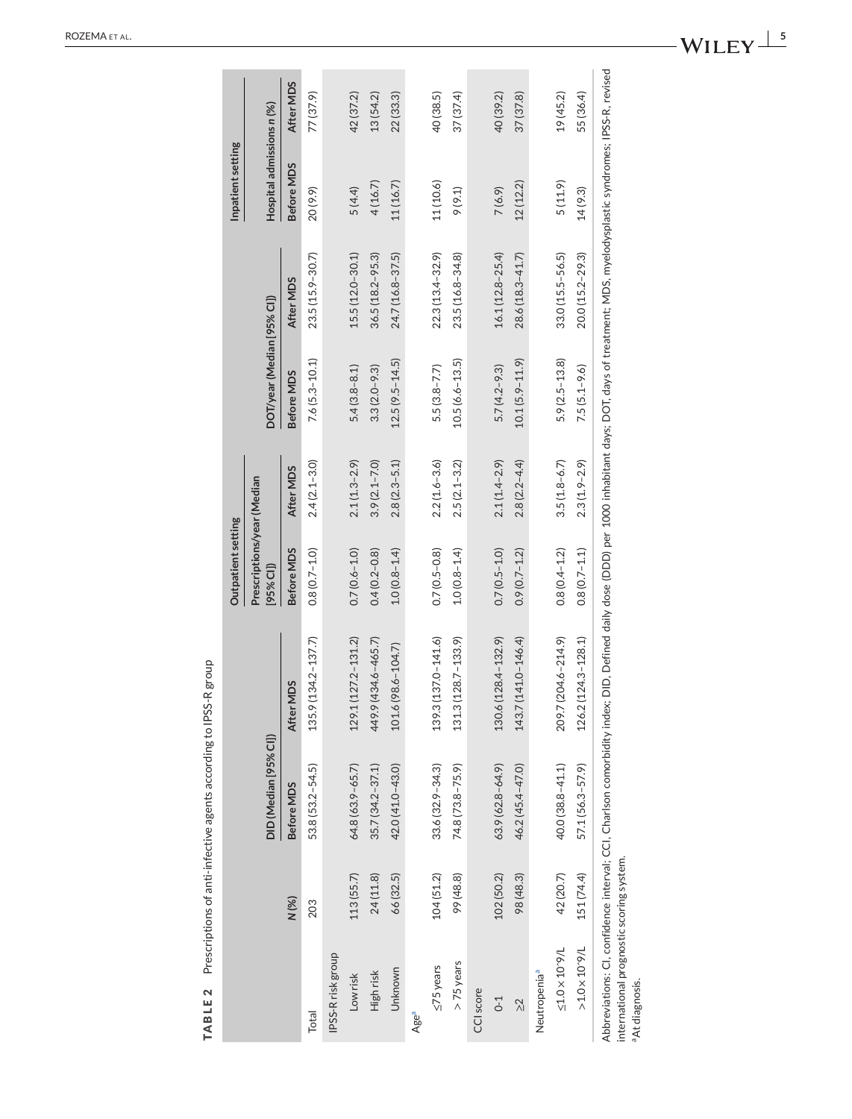<span id="page-4-0"></span>

|                                                                        |            |                       |                                                                                                                                                                                                          | Outpatient setting                        |                  |                            |                     | Inpatient setting         |           |
|------------------------------------------------------------------------|------------|-----------------------|----------------------------------------------------------------------------------------------------------------------------------------------------------------------------------------------------------|-------------------------------------------|------------------|----------------------------|---------------------|---------------------------|-----------|
|                                                                        |            | DID (Median [95% CI]) |                                                                                                                                                                                                          | Prescriptions/year (Median<br>$[95%$ CI]) |                  | DOT/year (Median [95% CI]) |                     | Hospital admissions n (%) |           |
|                                                                        | N(%)       | Before MDS            | After MDS                                                                                                                                                                                                | Before MDS                                | After MDS        | Before MDS                 | After MDS           | Before MDS                | After MDS |
| Total                                                                  | 203        | 53.8 (53.2-54.5)      | $.9(134.2 - 137.7)$<br>135.                                                                                                                                                                              | $0.8(0.7 - 1.0)$                          | $2.4(2.1 - 3.0)$ | $7.6(5.3 - 10.1)$          | 23.5 (15.9-30.7)    | 20(9.9)                   | 77 (37.9) |
| IPSS-Rrisk group                                                       |            |                       |                                                                                                                                                                                                          |                                           |                  |                            |                     |                           |           |
| Low risk                                                               | 113(55.7)  | 64.8 (63.9-65.7)      | $129.1(127.2 - 131.2)$                                                                                                                                                                                   | $0.7(0.6 - 1.0)$                          | $2.1(1.3-2.9)$   | $5.4(3.8 - 8.1)$           | $15.5(12.0 - 30.1)$ | 5(4.4)                    | 42 (37.2) |
| High risk                                                              | 24(11.8)   | $35.7(34.2 - 37.1)$   | $.9(434.6 - 465.7)$<br>449.                                                                                                                                                                              | $0.4(0.2 - 0.8)$                          | $3.9(2.1 - 7.0)$ | $3.3(2.0 - 9.3)$           | $36.5(18.2 - 95.3)$ | 4(16.7)                   | 13 (54.2) |
| Unknown                                                                | 66 (32.5)  | 42.0 (41.0-43.0)      | $6(98.6 - 104.7)$<br>101.                                                                                                                                                                                | $1.0(0.8 - 1.4)$                          | $2.8(2.3 - 5.1)$ | $12.5(9.5 - 14.5)$         | 24.7 (16.8-37.5)    | 11(16.7)                  | 22(33.3)  |
| Age <sup>a</sup>                                                       |            |                       |                                                                                                                                                                                                          |                                           |                  |                            |                     |                           |           |
| $\leq$ 75 years                                                        | 104(51.2)  | $33.6(32.9 - 34.3)$   | $.3(137.0 - 141.6)$<br>139.                                                                                                                                                                              | $0.7(0.5 - 0.8)$                          | $2.2(1.6 - 3.6)$ | $5.5(3.8 - 7.7)$           | $22.3(13.4 - 32.9)$ | 11(10.6)                  | 40 (38.5) |
| >75 years                                                              | 99 (48.8)  | 74.8 (73.8-75.9)      | $.3(128.7 - 133.9)$<br>131                                                                                                                                                                               | $1.0(0.8 - 1.4)$                          | $2.5(2.1 - 3.2)$ | $10.5(6.6 - 13.5)$         | $23.5(16.8 - 34.8)$ | 9(9.1)                    | 37(37.4)  |
| CCI score                                                              |            |                       |                                                                                                                                                                                                          |                                           |                  |                            |                     |                           |           |
| $C-1$                                                                  | 102(50.2)  | 63.9 (62.8-64.9)      | 130.6 (128.4-132.9)                                                                                                                                                                                      | $0.7(0.5 - 1.0)$                          | $2.1(1.4 - 2.9)$ | $5.7(4.2 - 9.3)$           | $16.1(12.8 - 25.4)$ | 7(6.9)                    | 40 (39.2) |
| $\frac{2}{\sqrt{2}}$                                                   | 98 (48.3)  | 46.2 (45.4-47.0)      | 143.7 (141.0-146.4)                                                                                                                                                                                      | $0.9(0.7 - 1.2)$                          | $2.8(2.2 - 4.4)$ | $10.1(5.9 - 11.9)$         | 28.6 (18.3-41.7)    | 12(12.2)                  | 37(37.8)  |
| Neutropenia <sup>a</sup>                                               |            |                       |                                                                                                                                                                                                          |                                           |                  |                            |                     |                           |           |
| $\leq\!\!1.0\times10^{\circ}9/\mathsf{L}$                              | 42 (20.7)  | 40.0 (38.8-41.1)      | 209.7 (204.6-214.9)                                                                                                                                                                                      | $0.8(0.4 - 1.2)$                          | $3.5(1.8-6.7)$   | $5.9(2.5 - 13.8)$          | $33.0(15.5 - 56.5)$ | 5(11.9)                   | 19(45.2)  |
| $>1.0\times10.8$                                                       | 151 (74.4) | 57.1 (56.3-57.9)      | $.2(124.3 - 128.1)$<br>126.                                                                                                                                                                              | $0.8(0.7 - 1.1)$                          | $2.3(1.9 - 2.9)$ | $7.5(5.1 - 9.6)$           | $20.0(15.2 - 29.3)$ | 14(9.3)                   | 55 (36.4) |
| international prognostic scoring system.<br><sup>a</sup> At diagnosis. |            |                       | Abbreviations: CI, confidence interval; CCI, Charlson comorbidity index; DID, Defined daily dose (DDD) per 1000 inhabitant days; DOT, days of treatment; MDS, myelodysplastic syndromes; IPSS-R, revised |                                           |                  |                            |                     |                           |           |

TABLE 2 Prescriptions of anti-infective agents according to IPSS-R group **TABLE 2** Prescriptions of anti-infective agents according to IPSS-R group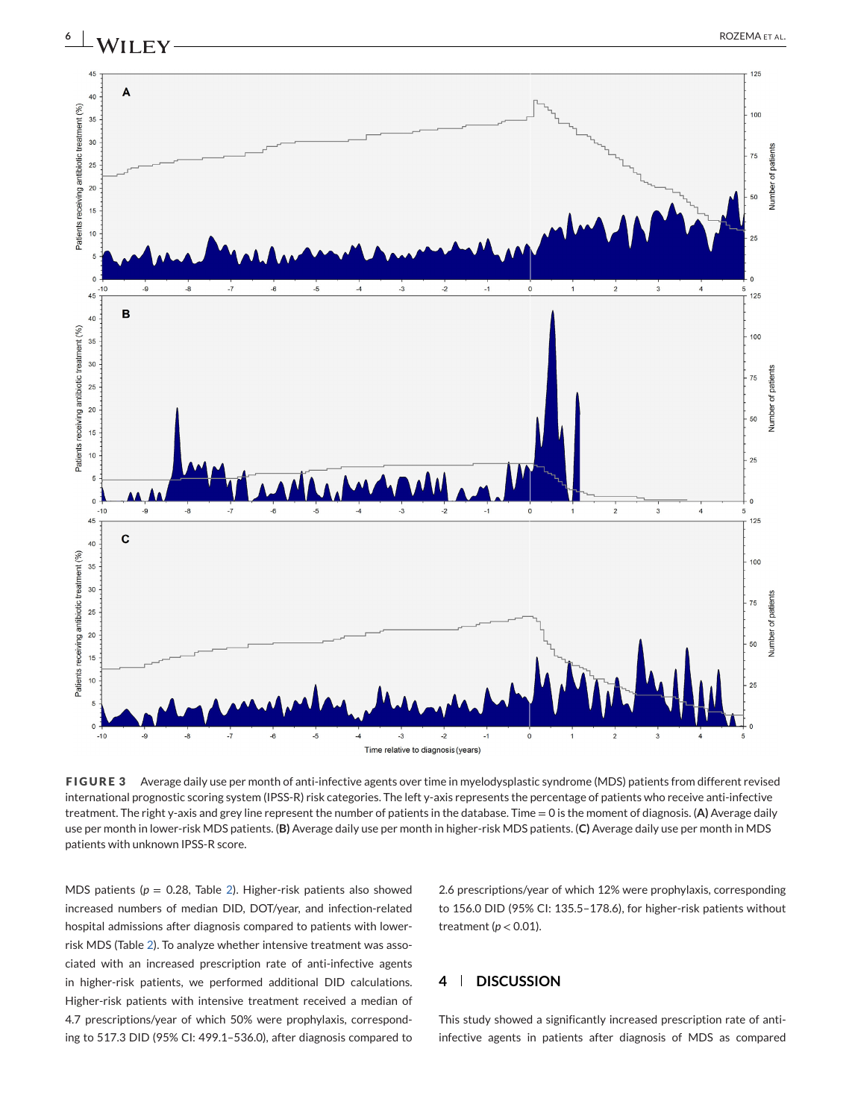

<span id="page-5-0"></span>

**FIGURE 3** Average daily use per month of anti-infective agents over time in myelodysplastic syndrome (MDS) patients from different revised international prognostic scoring system (IPSS-R) risk categories. The left y-axis represents the percentage of patients who receive anti-infective treatment. The right y-axis and grey line represent the number of patients in the database. Time = 0 is the moment of diagnosis. (**A)** Average daily use per month in lower-risk MDS patients. (**B)** Average daily use per month in higher-risk MDS patients. (**C)** Average daily use per month in MDS patients with unknown IPSS-R score.

MDS patients ( $p = 0.28$ , Table [2\)](#page-4-0). Higher-risk patients also showed increased numbers of median DID, DOT/year, and infection-related hospital admissions after diagnosis compared to patients with lowerrisk MDS (Table [2\)](#page-4-0). To analyze whether intensive treatment was associated with an increased prescription rate of anti-infective agents in higher-risk patients, we performed additional DID calculations. Higher-risk patients with intensive treatment received a median of 4.7 prescriptions/year of which 50% were prophylaxis, corresponding to 517.3 DID (95% CI: 499.1–536.0), after diagnosis compared to

2.6 prescriptions/year of which 12% were prophylaxis, corresponding to 156.0 DID (95% CI: 135.5–178.6), for higher-risk patients without treatment ( $p < 0.01$ ).

## **4 DISCUSSION**

This study showed a significantly increased prescription rate of antiinfective agents in patients after diagnosis of MDS as compared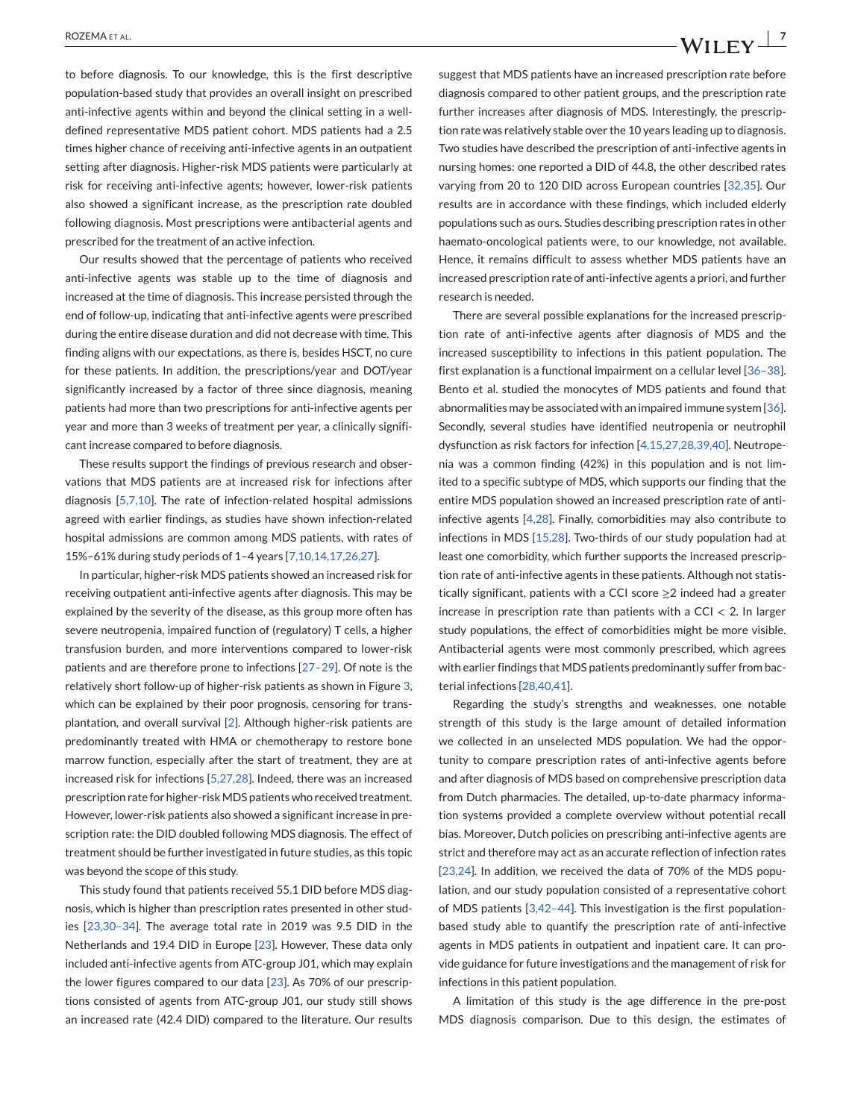to before diagnosis. To our knowledge, this is the first descriptive population-based study that provides an overall insight on prescribed anti-infective agents within and beyond the clinical setting in a welldefined representative MDS patient cohort. MDS patients had a 2.5 times higher chance of receiving anti-infective agents in an outpatient setting after diagnosis. Higher-risk MDS patients were particularly at risk for receiving anti-infective agents; however, lower-risk patients also showed a significant increase, as the prescription rate doubled following diagnosis. Most prescriptions were antibacterial agents and prescribed for the treatment of an active infection.

Our results showed that the percentage of patients who received anti-infective agents was stable up to the time of diagnosis and increased at the time of diagnosis. This increase persisted through the end of follow-up, indicating that anti-infective agents were prescribed during the entire disease duration and did not decrease with time. This finding aligns with our expectations, as there is, besides HSCT, no cure for these patients. In addition, the prescriptions/year and DOT/year significantly increased by a factor of three since diagnosis, meaning patients had more than two prescriptions for anti-infective agents per year and more than 3 weeks of treatment per year, a clinically significant increase compared to before diagnosis.

These results support the findings of previous research and observations that MDS patients are at increased risk for infections after diagnosis [\[5,7,10\]](#page-7-0). The rate of infection-related hospital admissions agreed with earlier findings, as studies have shown infection-related hospital admissions are common among MDS patients, with rates of 15%–61% during study periods of 1–4 years [\[7,10,14,17,26,27\]](#page-7-0).

In particular, higher-risk MDS patients showed an increased risk for receiving outpatient anti-infective agents after diagnosis. This may be explained by the severity of the disease, as this group more often has severe neutropenia, impaired function of (regulatory) T cells, a higher transfusion burden, and more interventions compared to lower-risk patients and are therefore prone to infections [\[27–29\]](#page-8-0). Of note is the relatively short follow-up of higher-risk patients as shown in Figure [3,](#page-5-0) which can be explained by their poor prognosis, censoring for transplantation, and overall survival [\[2\]](#page-7-0). Although higher-risk patients are predominantly treated with HMA or chemotherapy to restore bone marrow function, especially after the start of treatment, they are at increased risk for infections [\[5,27,28\]](#page-7-0). Indeed, there was an increased prescription rate for higher-riskMDS patients who received treatment. However, lower-risk patients also showed a significant increase in prescription rate: the DID doubled following MDS diagnosis. The effect of treatment should be further investigated in future studies, as this topic was beyond the scope of this study.

This study found that patients received 55.1 DID before MDS diagnosis, which is higher than prescription rates presented in other studies [\[23,30–34\]](#page-8-0). The average total rate in 2019 was 9.5 DID in the Netherlands and 19.4 DID in Europe [\[23\]](#page-8-0). However, These data only included anti-infective agents from ATC-group J01, which may explain the lower figures compared to our data [\[23\]](#page-8-0). As 70% of our prescriptions consisted of agents from ATC-group J01, our study still shows an increased rate (42.4 DID) compared to the literature. Our results

suggest that MDS patients have an increased prescription rate before diagnosis compared to other patient groups, and the prescription rate further increases after diagnosis of MDS. Interestingly, the prescription rate was relatively stable over the 10 years leading up to diagnosis. Two studies have described the prescription of anti-infective agents in nursing homes: one reported a DID of 44.8, the other described rates varying from 20 to 120 DID across European countries [\[32,35\]](#page-8-0). Our results are in accordance with these findings, which included elderly populations such as ours. Studies describing prescription rates in other haemato-oncological patients were, to our knowledge, not available. Hence, it remains difficult to assess whether MDS patients have an increased prescription rate of anti-infective agents a priori, and further research is needed.

There are several possible explanations for the increased prescription rate of anti-infective agents after diagnosis of MDS and the increased susceptibility to infections in this patient population. The first explanation is a functional impairment on a cellular level [\[36–38\]](#page-8-0). Bento et al. studied the monocytes of MDS patients and found that abnormalities may be associated with an impaired immune system [\[36\]](#page-8-0). Secondly, several studies have identified neutropenia or neutrophil dysfunction as risk factors for infection [\[4,15,27,28,39,40\]](#page-7-0). Neutropenia was a common finding (42%) in this population and is not limited to a specific subtype of MDS, which supports our finding that the entire MDS population showed an increased prescription rate of antiinfective agents [\[4,28\]](#page-7-0). Finally, comorbidities may also contribute to infections in MDS [\[15,28\]](#page-8-0). Two-thirds of our study population had at least one comorbidity, which further supports the increased prescription rate of anti-infective agents in these patients. Although not statistically significant, patients with a CCI score  $\geq$ 2 indeed had a greater increase in prescription rate than patients with a CCI  $<$  2. In larger study populations, the effect of comorbidities might be more visible. Antibacterial agents were most commonly prescribed, which agrees with earlier findings that MDS patients predominantly suffer from bacterial infections [\[28,40,41\]](#page-8-0).

Regarding the study's strengths and weaknesses, one notable strength of this study is the large amount of detailed information we collected in an unselected MDS population. We had the opportunity to compare prescription rates of anti-infective agents before and after diagnosis of MDS based on comprehensive prescription data from Dutch pharmacies. The detailed, up-to-date pharmacy information systems provided a complete overview without potential recall bias. Moreover, Dutch policies on prescribing anti-infective agents are strict and therefore may act as an accurate reflection of infection rates [\[23,24\]](#page-8-0). In addition, we received the data of 70% of the MDS population, and our study population consisted of a representative cohort of MDS patients [\[3,42–44\]](#page-7-0). This investigation is the first populationbased study able to quantify the prescription rate of anti-infective agents in MDS patients in outpatient and inpatient care. It can provide guidance for future investigations and the management of risk for infections in this patient population.

A limitation of this study is the age difference in the pre-post MDS diagnosis comparison. Due to this design, the estimates of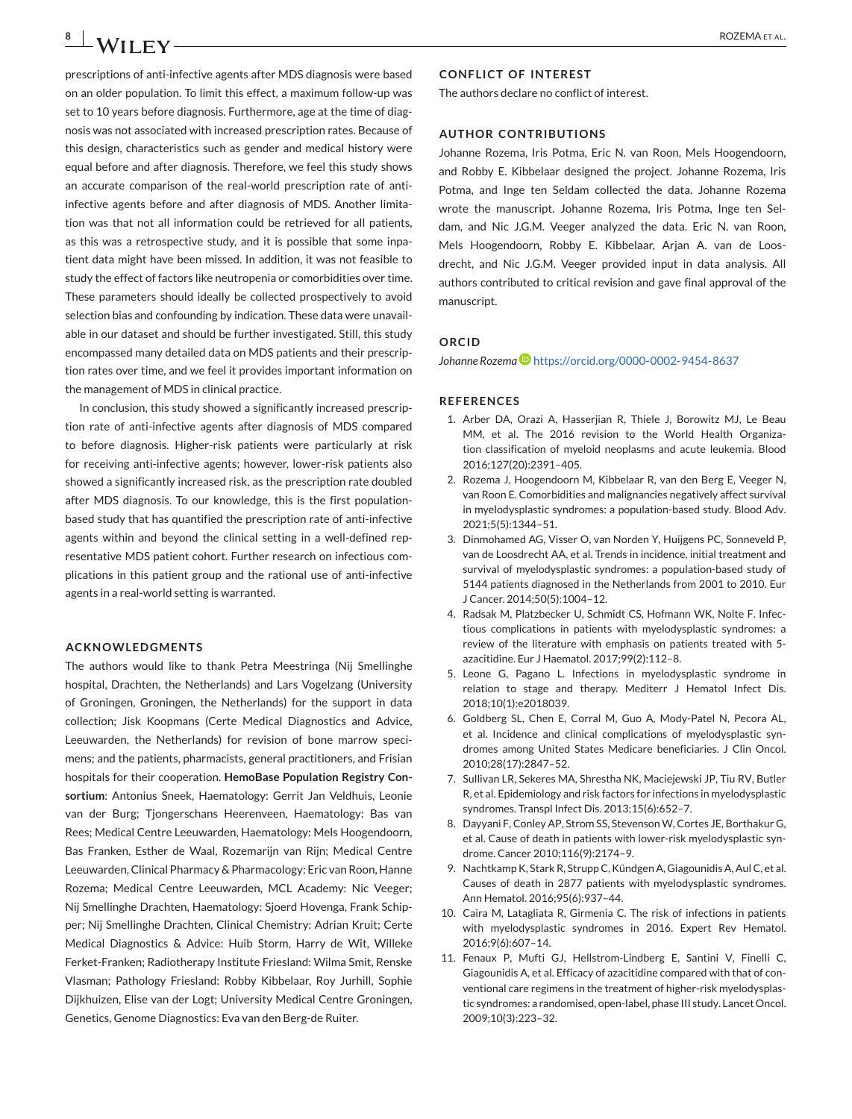<span id="page-7-0"></span>prescriptions of anti-infective agents after MDS diagnosis were based on an older population. To limit this effect, a maximum follow-up was set to 10 years before diagnosis. Furthermore, age at the time of diagnosis was not associated with increased prescription rates. Because of this design, characteristics such as gender and medical history were equal before and after diagnosis. Therefore, we feel this study shows an accurate comparison of the real-world prescription rate of antiinfective agents before and after diagnosis of MDS. Another limitation was that not all information could be retrieved for all patients, as this was a retrospective study, and it is possible that some inpatient data might have been missed. In addition, it was not feasible to study the effect of factors like neutropenia or comorbidities over time. These parameters should ideally be collected prospectively to avoid selection bias and confounding by indication. These data were unavailable in our dataset and should be further investigated. Still, this study encompassed many detailed data on MDS patients and their prescription rates over time, and we feel it provides important information on the management of MDS in clinical practice.

In conclusion, this study showed a significantly increased prescription rate of anti-infective agents after diagnosis of MDS compared to before diagnosis. Higher-risk patients were particularly at risk for receiving anti-infective agents; however, lower-risk patients also showed a significantly increased risk, as the prescription rate doubled after MDS diagnosis. To our knowledge, this is the first populationbased study that has quantified the prescription rate of anti-infective agents within and beyond the clinical setting in a well-defined representative MDS patient cohort. Further research on infectious complications in this patient group and the rational use of anti-infective agents in a real-world setting is warranted.

#### **ACKNOWLEDGMENTS**

The authors would like to thank Petra Meestringa (Nij Smellinghe hospital, Drachten, the Netherlands) and Lars Vogelzang (University of Groningen, Groningen, the Netherlands) for the support in data collection; Jisk Koopmans (Certe Medical Diagnostics and Advice, Leeuwarden, the Netherlands) for revision of bone marrow specimens; and the patients, pharmacists, general practitioners, and Frisian hospitals for their cooperation. **HemoBase Population Registry Consortium**: Antonius Sneek, Haematology: Gerrit Jan Veldhuis, Leonie van der Burg; Tjongerschans Heerenveen, Haematology: Bas van Rees; Medical Centre Leeuwarden, Haematology: Mels Hoogendoorn, Bas Franken, Esther de Waal, Rozemarijn van Rijn; Medical Centre Leeuwarden, Clinical Pharmacy & Pharmacology: Eric van Roon, Hanne Rozema; Medical Centre Leeuwarden, MCL Academy: Nic Veeger; Nij Smellinghe Drachten, Haematology: Sjoerd Hovenga, Frank Schipper; Nij Smellinghe Drachten, Clinical Chemistry: Adrian Kruit; Certe Medical Diagnostics & Advice: Huib Storm, Harry de Wit, Willeke Ferket-Franken; Radiotherapy Institute Friesland: Wilma Smit, Renske Vlasman; Pathology Friesland: Robby Kibbelaar, Roy Jurhill, Sophie Dijkhuizen, Elise van der Logt; University Medical Centre Groningen, Genetics, Genome Diagnostics: Eva van den Berg-de Ruiter.

#### **CONFLICT OF INTEREST**

The authors declare no conflict of interest.

#### **AUTHOR CONTRIBUTIONS**

Johanne Rozema, Iris Potma, Eric N. van Roon, Mels Hoogendoorn, and Robby E. Kibbelaar designed the project. Johanne Rozema, Iris Potma, and Inge ten Seldam collected the data. Johanne Rozema wrote the manuscript. Johanne Rozema, Iris Potma, Inge ten Seldam, and Nic J.G.M. Veeger analyzed the data. Eric N. van Roon, Mels Hoogendoorn, Robby E. Kibbelaar, Arjan A. van de Loosdrecht, and Nic J.G.M. Veeger provided input in data analysis. All authors contributed to critical revision and gave final approval of the manuscript.

#### **ORCID**

Johanne Rozema<sup> D</sup><https://orcid.org/0000-0002-9454-8637>

#### **REFERENCES**

- 1. Arber DA, Orazi A, Hasserjian R, Thiele J, Borowitz MJ, Le Beau MM, et al. The 2016 revision to the World Health Organization classification of myeloid neoplasms and acute leukemia. Blood 2016;127(20):2391–405.
- 2. Rozema J, Hoogendoorn M, Kibbelaar R, van den Berg E, Veeger N, van Roon E. Comorbidities and malignancies negatively affect survival in myelodysplastic syndromes: a population-based study. Blood Adv. 2021;5(5):1344–51.
- 3. Dinmohamed AG, Visser O, van Norden Y, Huijgens PC, Sonneveld P, van de Loosdrecht AA, et al. Trends in incidence, initial treatment and survival of myelodysplastic syndromes: a population-based study of 5144 patients diagnosed in the Netherlands from 2001 to 2010. Eur J Cancer. 2014;50(5):1004–12.
- 4. Radsak M, Platzbecker U, Schmidt CS, Hofmann WK, Nolte F. Infectious complications in patients with myelodysplastic syndromes: a review of the literature with emphasis on patients treated with 5 azacitidine. Eur J Haematol. 2017;99(2):112–8.
- 5. Leone G, Pagano L. Infections in myelodysplastic syndrome in relation to stage and therapy. Mediterr J Hematol Infect Dis. 2018;10(1):e2018039.
- 6. Goldberg SL, Chen E, Corral M, Guo A, Mody-Patel N, Pecora AL, et al. Incidence and clinical complications of myelodysplastic syndromes among United States Medicare beneficiaries. J Clin Oncol. 2010;28(17):2847–52.
- 7. Sullivan LR, Sekeres MA, Shrestha NK, Maciejewski JP, Tiu RV, Butler R, et al. Epidemiology and risk factors for infections in myelodysplastic syndromes. Transpl Infect Dis. 2013;15(6):652–7.
- 8. Dayyani F, Conley AP, Strom SS, Stevenson W, Cortes JE, Borthakur G, et al. Cause of death in patients with lower-risk myelodysplastic syndrome. Cancer 2010;116(9):2174–9.
- 9. Nachtkamp K, Stark R, Strupp C, Kündgen A, Giagounidis A, Aul C, et al. Causes of death in 2877 patients with myelodysplastic syndromes. Ann Hematol. 2016;95(6):937–44.
- 10. Caira M, Latagliata R, Girmenia C. The risk of infections in patients with myelodysplastic syndromes in 2016. Expert Rev Hematol. 2016;9(6):607–14.
- 11. Fenaux P, Mufti GJ, Hellstrom-Lindberg E, Santini V, Finelli C, Giagounidis A, et al. Efficacy of azacitidine compared with that of conventional care regimens in the treatment of higher-risk myelodysplastic syndromes: a randomised, open-label, phase III study. Lancet Oncol. 2009;10(3):223–32.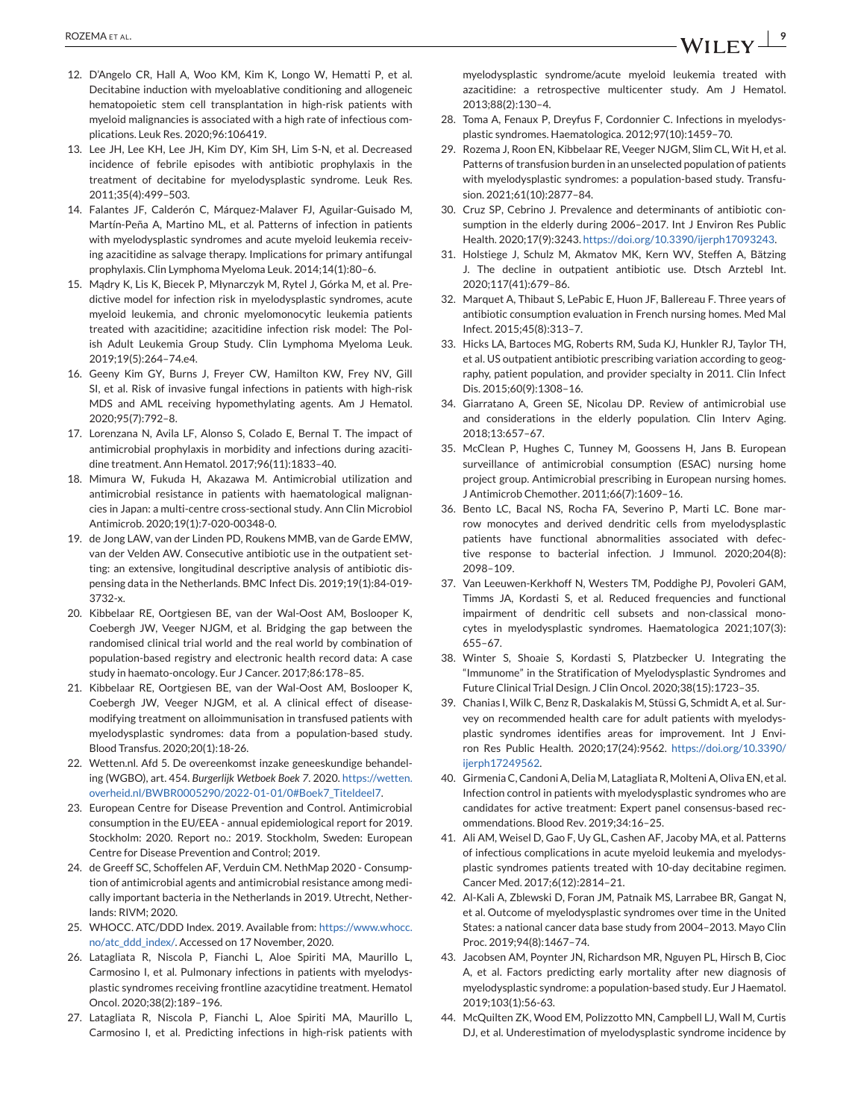- <span id="page-8-0"></span>12. D'Angelo CR, Hall A, Woo KM, Kim K, Longo W, Hematti P, et al. Decitabine induction with myeloablative conditioning and allogeneic hematopoietic stem cell transplantation in high-risk patients with myeloid malignancies is associated with a high rate of infectious complications. Leuk Res. 2020;96:106419.
- 13. Lee JH, Lee KH, Lee JH, Kim DY, Kim SH, Lim S-N, et al. Decreased incidence of febrile episodes with antibiotic prophylaxis in the treatment of decitabine for myelodysplastic syndrome. Leuk Res. 2011;35(4):499–503.
- 14. Falantes JF, Calderón C, Márquez-Malaver FJ, Aguilar-Guisado M, Martín-Peña A, Martino ML, et al. Patterns of infection in patients with myelodysplastic syndromes and acute myeloid leukemia receiving azacitidine as salvage therapy. Implications for primary antifungal prophylaxis. Clin Lymphoma Myeloma Leuk. 2014;14(1):80–6.
- 15. Mądry K, Lis K, Biecek P, Młynarczyk M, Rytel J, Górka M, et al. Predictive model for infection risk in myelodysplastic syndromes, acute myeloid leukemia, and chronic myelomonocytic leukemia patients treated with azacitidine; azacitidine infection risk model: The Polish Adult Leukemia Group Study. Clin Lymphoma Myeloma Leuk. 2019;19(5):264–74.e4.
- 16. Geeny Kim GY, Burns J, Freyer CW, Hamilton KW, Frey NV, Gill SI, et al. Risk of invasive fungal infections in patients with high-risk MDS and AML receiving hypomethylating agents. Am J Hematol. 2020;95(7):792–8.
- 17. Lorenzana N, Avila LF, Alonso S, Colado E, Bernal T. The impact of antimicrobial prophylaxis in morbidity and infections during azacitidine treatment. Ann Hematol. 2017;96(11):1833–40.
- 18. Mimura W, Fukuda H, Akazawa M. Antimicrobial utilization and antimicrobial resistance in patients with haematological malignancies in Japan: a multi-centre cross-sectional study. Ann Clin Microbiol Antimicrob. 2020;19(1):7-020-00348-0.
- 19. de Jong LAW, van der Linden PD, Roukens MMB, van de Garde EMW, van der Velden AW. Consecutive antibiotic use in the outpatient setting: an extensive, longitudinal descriptive analysis of antibiotic dispensing data in the Netherlands. BMC Infect Dis. 2019;19(1):84-019- 3732-x.
- 20. Kibbelaar RE, Oortgiesen BE, van der Wal-Oost AM, Boslooper K, Coebergh JW, Veeger NJGM, et al. Bridging the gap between the randomised clinical trial world and the real world by combination of population-based registry and electronic health record data: A case study in haemato-oncology. Eur J Cancer. 2017;86:178–85.
- 21. Kibbelaar RE, Oortgiesen BE, van der Wal-Oost AM, Boslooper K, Coebergh JW, Veeger NJGM, et al. A clinical effect of diseasemodifying treatment on alloimmunisation in transfused patients with myelodysplastic syndromes: data from a population-based study. Blood Transfus. 2020;20(1):18-26.
- 22. Wetten.nl. Afd 5. De overeenkomst inzake geneeskundige behandeling (WGBO), art. 454. *Burgerlijk Wetboek Boek 7*. 2020. [https://wetten.](https://wetten.overheid.nl/BWBR0005290/2022-01-01/0#Boek7_Titeldeel7) [overheid.nl/BWBR0005290/2022-01-01/0#Boek7\\_Titeldeel7.](https://wetten.overheid.nl/BWBR0005290/2022-01-01/0#Boek7_Titeldeel7)
- 23. European Centre for Disease Prevention and Control. Antimicrobial consumption in the EU/EEA - annual epidemiological report for 2019. Stockholm: 2020. Report no.: 2019. Stockholm, Sweden: European Centre for Disease Prevention and Control; 2019.
- 24. de Greeff SC, Schoffelen AF, Verduin CM. NethMap 2020 Consumption of antimicrobial agents and antimicrobial resistance among medically important bacteria in the Netherlands in 2019. Utrecht, Netherlands: RIVM; 2020.
- 25. WHOCC. ATC/DDD Index. 2019. Available from: [https://www.whocc.](https://www.whocc.no/atc_ddd_index/) [no/atc\\_ddd\\_index/.](https://www.whocc.no/atc_ddd_index/) Accessed on 17 November, 2020.
- 26. Latagliata R, Niscola P, Fianchi L, Aloe Spiriti MA, Maurillo L, Carmosino I, et al. Pulmonary infections in patients with myelodysplastic syndromes receiving frontline azacytidine treatment. Hematol Oncol. 2020;38(2):189–196.
- 27. Latagliata R, Niscola P, Fianchi L, Aloe Spiriti MA, Maurillo L, Carmosino I, et al. Predicting infections in high-risk patients with

myelodysplastic syndrome/acute myeloid leukemia treated with azacitidine: a retrospective multicenter study. Am J Hematol. 2013;88(2):130–4.

- 28. Toma A, Fenaux P, Dreyfus F, Cordonnier C. Infections in myelodysplastic syndromes. Haematologica. 2012;97(10):1459–70.
- 29. Rozema J, Roon EN, Kibbelaar RE, Veeger NJGM, Slim CL, Wit H, et al. Patterns of transfusion burden in an unselected population of patients with myelodysplastic syndromes: a population-based study. Transfusion. 2021;61(10):2877–84.
- 30. Cruz SP, Cebrino J. Prevalence and determinants of antibiotic consumption in the elderly during 2006–2017. Int J Environ Res Public Health. 2020;17(9):3243. [https://doi.org/10.3390/ijerph17093243.](https://doi.org/10.3390/ijerph17093243)
- 31. Holstiege J, Schulz M, Akmatov MK, Kern WV, Steffen A, Bätzing J. The decline in outpatient antibiotic use. Dtsch Arztebl Int. 2020;117(41):679–86.
- 32. Marquet A, Thibaut S, LePabic E, Huon JF, Ballereau F. Three years of antibiotic consumption evaluation in French nursing homes. Med Mal Infect. 2015;45(8):313–7.
- 33. Hicks LA, Bartoces MG, Roberts RM, Suda KJ, Hunkler RJ, Taylor TH, et al. US outpatient antibiotic prescribing variation according to geography, patient population, and provider specialty in 2011. Clin Infect Dis. 2015;60(9):1308–16.
- 34. Giarratano A, Green SE, Nicolau DP. Review of antimicrobial use and considerations in the elderly population. Clin Interv Aging. 2018;13:657–67.
- 35. McClean P, Hughes C, Tunney M, Goossens H, Jans B. European surveillance of antimicrobial consumption (ESAC) nursing home project group. Antimicrobial prescribing in European nursing homes. J Antimicrob Chemother. 2011;66(7):1609–16.
- 36. Bento LC, Bacal NS, Rocha FA, Severino P, Marti LC. Bone marrow monocytes and derived dendritic cells from myelodysplastic patients have functional abnormalities associated with defective response to bacterial infection. J Immunol. 2020;204(8): 2098–109.
- 37. Van Leeuwen-Kerkhoff N, Westers TM, Poddighe PJ, Povoleri GAM, Timms JA, Kordasti S, et al. Reduced frequencies and functional impairment of dendritic cell subsets and non-classical monocytes in myelodysplastic syndromes. Haematologica 2021;107(3): 655–67.
- 38. Winter S, Shoaie S, Kordasti S, Platzbecker U. Integrating the "Immunome" in the Stratification of Myelodysplastic Syndromes and Future Clinical Trial Design. J Clin Oncol. 2020;38(15):1723–35.
- 39. Chanias I, Wilk C, Benz R, Daskalakis M, Stüssi G, Schmidt A, et al. Survey on recommended health care for adult patients with myelodysplastic syndromes identifies areas for improvement. Int J Environ Res Public Health. 2020;17(24):9562. [https://doi.org/10.3390/](https://doi.org/10.3390/ijerph17249562) [ijerph17249562.](https://doi.org/10.3390/ijerph17249562)
- 40. Girmenia C, Candoni A, Delia M, Latagliata R, Molteni A, Oliva EN, et al. Infection control in patients with myelodysplastic syndromes who are candidates for active treatment: Expert panel consensus-based recommendations. Blood Rev. 2019;34:16–25.
- 41. Ali AM, Weisel D, Gao F, Uy GL, Cashen AF, Jacoby MA, et al. Patterns of infectious complications in acute myeloid leukemia and myelodysplastic syndromes patients treated with 10-day decitabine regimen. Cancer Med. 2017;6(12):2814–21.
- 42. Al-Kali A, Zblewski D, Foran JM, Patnaik MS, Larrabee BR, Gangat N, et al. Outcome of myelodysplastic syndromes over time in the United States: a national cancer data base study from 2004–2013. Mayo Clin Proc. 2019;94(8):1467–74.
- 43. Jacobsen AM, Poynter JN, Richardson MR, Nguyen PL, Hirsch B, Cioc A, et al. Factors predicting early mortality after new diagnosis of myelodysplastic syndrome: a population-based study. Eur J Haematol. 2019;103(1):56-63.
- 44. McQuilten ZK, Wood EM, Polizzotto MN, Campbell LJ, Wall M, Curtis DJ, et al. Underestimation of myelodysplastic syndrome incidence by